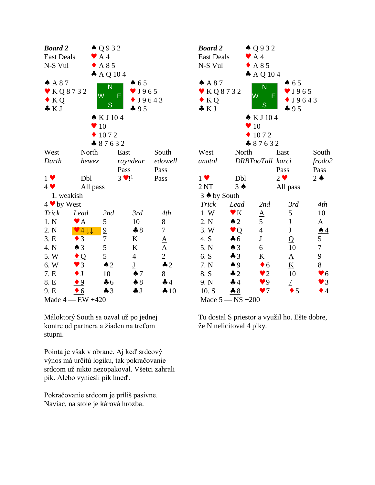| <b>Board 2</b>           |                                 | $\triangle Q932$         |                           |                                       | Bo             |  |
|--------------------------|---------------------------------|--------------------------|---------------------------|---------------------------------------|----------------|--|
| <b>East Deals</b>        |                                 | $\blacktriangleright$ A4 |                           |                                       | Eas            |  |
| N-S Vul                  |                                 | $\triangle$ A 85         |                           |                                       | $N-$           |  |
|                          |                                 | $A$ A Q 104              |                           |                                       |                |  |
| A87                      |                                 |                          | 65                        |                                       |                |  |
| $\bullet$ KQ8732         |                                 | N                        | $\blacktriangledown$ J965 |                                       |                |  |
| $\bullet$ KQ             |                                 | W                        | E<br>$\bullet$ J9643      |                                       |                |  |
| $\bullet KJ$             |                                 | S                        | 495                       |                                       | $\clubsuit$    |  |
|                          |                                 | $\bullet$ K J 104        |                           |                                       |                |  |
|                          |                                 | 10                       |                           |                                       |                |  |
|                          |                                 | 1072                     |                           |                                       |                |  |
|                          |                                 | 87632                    |                           |                                       |                |  |
| West                     | North                           |                          | East                      | South                                 | We             |  |
| Darth                    | hewex                           |                          | rayndear                  | edowell                               | anc            |  |
|                          |                                 |                          | Pass                      | Pass                                  |                |  |
| $1 \vee$                 | Dbl                             |                          | $3 \cdot 1^1$             | Pass                                  | $1 \vee$       |  |
| $4$ $\blacktriangledown$ | All pass                        |                          |                           |                                       | 2N             |  |
| 1. weakish               |                                 |                          |                           |                                       | 3 <sub>0</sub> |  |
| 4 v by West              |                                 |                          |                           |                                       | Tr             |  |
| <b>Trick</b>             | Lead                            | 2nd                      | 3rd                       | 4th                                   | 1.             |  |
| 1. N                     | $\blacktriangledown$ A          | 5                        | 10                        | 8                                     | 2.             |  |
| 2. N                     | $\vee$ 4 $\downarrow\downarrow$ | $\overline{\partial}$    | $*8$                      | $\boldsymbol{7}$                      | 3.             |  |
| 3.E                      | $\overline{3}$                  | $\overline{7}$           | $\bf K$                   |                                       | 4.             |  |
| 4. N                     | $\triangle$ 3                   | 5                        | $\bf K$                   | $\frac{\underline{A}}{\underline{A}}$ | 5.             |  |
| 5. W                     | $\bullet$ Q                     | 5                        | $\overline{4}$            |                                       | 6.             |  |
| 6.W                      | $\blacktriangledown$ 3          | $\triangle$ 2            | $\overline{\mathbf{I}}$   | $\clubsuit$ 2                         | 7.             |  |
| 7. E                     | $\bullet$ J                     | 10                       | $\spadesuit$ 7            | 8                                     | 8.             |  |
| 8. E                     | $\bullet 9$                     | $\clubsuit$ 6            | $\clubsuit 8$             | 44                                    | 9.             |  |
| 9. E                     | $\bullet$ 6                     | $\clubsuit$ 3            | $\clubsuit$ J             | 410                                   | 10             |  |
| Made $4$ - EW $+420$     |                                 |                          |                           |                                       |                |  |

Máloktorý South sa ozval už po jednej kontre od partnera a žiaden na treťom stupni.

Pointa je však v obrane. Aj keď srdcový výnos má určitú logiku, tak pokračovanie srdcom už nikto nezopakoval. Všetci zahrali pik. Alebo vyniesli pik hneď.

Pokračovanie srdcom je príliš pasívne. Naviac, na stole je kárová hrozba.

| <b>Board 2</b><br><b>East Deals</b><br>N-S Vul<br>A 87<br>$\bullet$ KQ8732 | $\blacktriangleright$ A4<br>W | $\triangle Q$ 932<br>$\triangle$ A 85<br>$A$ A Q 104<br>N<br>Е | 65<br>$\sqrt{J965}$<br>$\bullet$ J9643 |                         |  |  |
|----------------------------------------------------------------------------|-------------------------------|----------------------------------------------------------------|----------------------------------------|-------------------------|--|--|
| $\bullet$ KQ<br>$\clubsuit$ K J                                            |                               | S                                                              | 495                                    |                         |  |  |
|                                                                            |                               | $\bullet$ KJ104                                                |                                        |                         |  |  |
|                                                                            |                               | 10                                                             |                                        |                         |  |  |
|                                                                            |                               | 1072                                                           |                                        |                         |  |  |
|                                                                            |                               | 87632                                                          |                                        |                         |  |  |
| West                                                                       | North                         |                                                                | East                                   | South                   |  |  |
| anatol                                                                     |                               | DRBTooTall karci                                               |                                        | frodo2                  |  |  |
|                                                                            |                               |                                                                | Pass                                   | Pass                    |  |  |
| $1 \vee$                                                                   | Dbl                           |                                                                | $2 \bullet$                            | $2 \triangle$           |  |  |
| 2NT                                                                        | $3 \spadesuit$                |                                                                | All pass                               |                         |  |  |
| 3 ♦ by South                                                               |                               |                                                                |                                        |                         |  |  |
| <b>Trick</b>                                                               | Lead                          | 2nd                                                            | 3rd                                    | 4th                     |  |  |
| 1. W                                                                       | $\mathbf{v}$ K                | $\underline{A}$                                                | 5                                      | 10                      |  |  |
| 2. N                                                                       | $\triangle$ 2                 | 5                                                              | $\bf J$                                | $\underline{A}$         |  |  |
| 3. W                                                                       | $\bullet$ Q                   | $\overline{4}$                                                 | ${\bf J}$                              | $\triangle 4$           |  |  |
| 4. S                                                                       | $\clubsuit$ 6                 | $\mathbf J$                                                    | Q                                      | 5                       |  |  |
| 5. N                                                                       | $\triangle$ 3                 | 6                                                              | 10                                     | $\overline{7}$          |  |  |
| 6. S                                                                       | $\clubsuit$ 3                 | K                                                              | $\underline{A}$                        | 9                       |  |  |
| 7. N                                                                       | $\spadesuit$ 9                | $\bullet$ 6                                                    | $\underline{\underline{K}}$            | 8                       |  |  |
| 8. S                                                                       | $\clubsuit$ 2                 | $\bullet$ 2                                                    | 10                                     | $\blacktriangledown 6$  |  |  |
| 9. N                                                                       | 44                            | $\bullet$ 9                                                    | $\overline{1}$                         | $\bullet$ 3             |  |  |
| 10. S                                                                      | 8 8                           | $\bullet$ 7                                                    | 5                                      | $\blacktriangleright$ 4 |  |  |
| Made $5 - NS + 200$                                                        |                               |                                                                |                                        |                         |  |  |

Tu dostal S priestor a využil ho. Ešte dobre, že N nelicitoval 4 piky.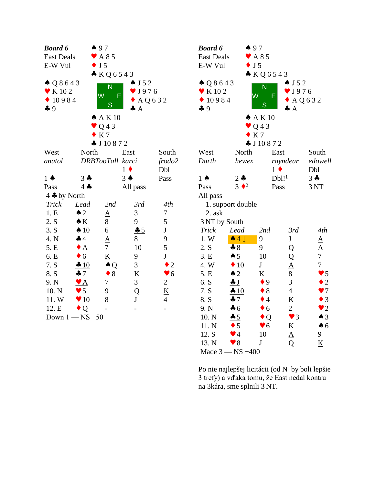| <b>Board 6</b>                                   |                                                | $\spadesuit$ 97          |                           |                          | <b>Boa</b>     |
|--------------------------------------------------|------------------------------------------------|--------------------------|---------------------------|--------------------------|----------------|
| $\blacktriangleright$ A 8 5<br><b>East Deals</b> |                                                |                          |                           |                          | Eas            |
| $\bullet$ J 5<br>E-W Vul                         |                                                |                          |                           |                          | E-V            |
|                                                  |                                                | KQ6543                   |                           |                          |                |
| $\triangle Q8643$                                |                                                | N                        | $\triangle$ J 5 2         |                          | $\spadesuit$ ( |
| $\blacktriangledown$ K 10 2                      |                                                |                          | $\blacktriangledown$ J976 |                          | v k            |
|                                                  | W<br>Е<br>$\bullet$ 10984<br>$\triangle$ AQ632 |                          |                           |                          |                |
| 49                                               |                                                | S                        | $\clubsuit$ A             |                          | 49             |
|                                                  |                                                | A K 10                   |                           |                          |                |
|                                                  |                                                | $\bullet$ Q43            |                           |                          |                |
|                                                  |                                                | $\bullet$ K 7            |                           |                          |                |
|                                                  |                                                | $\clubsuit$ J 10 8 7 2   |                           |                          |                |
| West                                             | North                                          |                          | East                      | South                    | We:            |
| anatol                                           | DRBTooTall karci                               |                          |                           | frodo2                   | Dar            |
|                                                  |                                                |                          | $1 \bullet$               | Dbl                      |                |
| $1 \spadesuit$                                   | $3 -$                                          |                          | $3 \spadesuit$            | Pass                     | $1 \spadesuit$ |
| Pass                                             | $4 -$                                          |                          | All pass                  |                          | Pas:           |
| 4 $\clubsuit$ by North                           |                                                |                          |                           |                          | All            |
| Trick                                            | Lead                                           | 2nd                      | 3rd                       | 4th                      | 1              |
| 1.E                                              | $\triangle$ 2                                  | $\underline{A}$          | 3                         | 7                        | $\overline{c}$ |
| 2. S                                             | $\triangle K$                                  | 8                        | 9                         | 5                        | 3N             |
| 3. S                                             | $\spadesuit$ 10                                | 6                        | 45                        | ${\bf J}$                | Tri            |
| 4. N                                             | 44                                             | $\underline{A}$          | 8                         | 9                        | 1.1            |
| 5. E                                             | $\triangle$                                    | $\overline{7}$           | 10                        | 5                        | 2.8            |
| 6. E                                             | $\bullet$ 6                                    | $\underline{\mathbf{K}}$ | 9                         | $\mathbf J$              | 3.1            |
| 7. S                                             | $+10$                                          | $\clubsuit Q$            | 3                         | $\bullet$ 2              | 4.1            |
| 8. S                                             | 47                                             | $\bullet$ 8              | $\underline{\mathbf{K}}$  | $\blacktriangledown 6$   | 5.1            |
| 9. N                                             | $\bullet$ A                                    | 7                        | 3                         | $\overline{2}$           | 6.             |
| 10. N                                            | $\bullet$ 5                                    | 9                        | Q                         | $\underline{\mathbf{K}}$ | 7.             |
| 11.W                                             | $\blacktriangledown 10$                        | 8                        | $\underline{\mathbf{J}}$  | $\overline{4}$           | 8.5            |
| 12. E                                            | $\bullet$ Q                                    |                          |                           |                          | 9.1<br>10.     |
| Down $1 - NS - 50$                               |                                                |                          |                           |                          |                |

| <b>Board 6</b>              | 497                                |                            |                          |                          |  |  |
|-----------------------------|------------------------------------|----------------------------|--------------------------|--------------------------|--|--|
| <b>East Deals</b>           |                                    | $\blacktriangleright$ A 85 |                          |                          |  |  |
| J <sub>5</sub><br>E-W Vul   |                                    |                            |                          |                          |  |  |
|                             |                                    | KQ6543                     |                          |                          |  |  |
| $\triangle Q8643$           |                                    | $\overline{\mathsf{N}}$    | $\bullet$ J 5 2          |                          |  |  |
| $\blacktriangleright$ K 102 | W                                  |                            | $\sqrt{J976}$            |                          |  |  |
| 10984                       |                                    | Ε                          | AQ632                    |                          |  |  |
| 49                          |                                    | S                          | $\clubsuit$ A            |                          |  |  |
|                             |                                    | A K 10                     |                          |                          |  |  |
|                             |                                    | $\vee$ Q43                 |                          |                          |  |  |
|                             |                                    | K 7                        |                          |                          |  |  |
|                             |                                    | $\clubsuit$ J 10 8 7 2     |                          |                          |  |  |
| West                        | North                              | East                       |                          | South                    |  |  |
| Darth                       | hewex                              |                            | rayndear                 | edowell                  |  |  |
|                             |                                    | $1 \bullet$                |                          | Dbl                      |  |  |
| $1 \spadesuit$              | $2 -$                              | $Db1!$ <sup>1</sup>        |                          | $3 -$                    |  |  |
| Pass                        | $3 \cdot \cdot \cdot$ <sup>2</sup> | Pass                       |                          | 3NT                      |  |  |
| All pass                    |                                    |                            |                          |                          |  |  |
|                             | 1. support double                  |                            |                          |                          |  |  |
| 2. ask                      |                                    |                            |                          |                          |  |  |
| 3 NT by South               |                                    |                            |                          |                          |  |  |
| Trick                       | Lead                               | 2nd                        | 3rd                      | 4th                      |  |  |
| 1. W                        | $\triangle 4 \downarrow$           | 9                          | J                        | $\underline{A}$          |  |  |
| 2. S                        | $\clubsuit 8$                      | 9                          | Q                        | $\frac{A}{7}$            |  |  |
| 3.E                         | $\spadesuit$ 5                     | 10                         | $\frac{Q}{A}$            |                          |  |  |
| 4.W                         | $\blacklozenge$ 10                 | $\mathbf J$                |                          | $\overline{7}$           |  |  |
| 5.E                         | $\triangle$ 2                      | $\overline{\mathbf{K}}$    | 8                        | $\blacktriangledown$ 5   |  |  |
| 6. S                        | $\clubsuit$ J                      | $\bullet$ 9                | 3                        | $\bullet$ 2              |  |  |
| 7. S                        | $\frac{10}{2}$                     | $\bullet$ 8                | $\overline{4}$           | $\bullet$ 7              |  |  |
| 8. S                        | $\clubsuit$ 7                      | $\bullet$ 4                | K                        | $\bullet$ 3              |  |  |
| 9. N                        | 46                                 | $\bullet$ 6                | $\overline{2}$           | $\bullet$ 2              |  |  |
| 10. N                       | 45                                 | $\bullet$ Q                | $\blacktriangledown$ 3   | $\spadesuit$ 3           |  |  |
| 11. N                       | $\bullet$ 5                        | $\blacktriangledown 6$     | $\underline{\mathbf{K}}$ | $\spadesuit$ 6           |  |  |
| 12. S                       | $\blacktriangledown$ 4             | 10                         | $\underline{A}$          | 9                        |  |  |
| 13. N                       | $\blacktriangledown 8$             | J                          | Q                        | $\underline{\mathbf{K}}$ |  |  |
| Made $3 - NS +400$          |                                    |                            |                          |                          |  |  |

Po nie najlepšej licitácii (od N by boli lepšie 3 trefy) a vďaka tomu, že East nedal kontru 13. N v 8 J Q <u>K</u><br>Made 3 — NS +400<br>Po nie najlepšej licitácii (od N by boli lepšie<br>3 trefy) a vďaka tomu, že East nedal kontru<br>na 3kára, sme splnili 3 NT.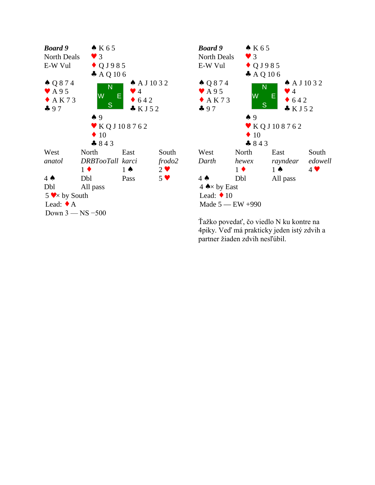



Ťažko povedať, čo viedlo N ku kontre na 4piky. Veď má prakticky jeden istý zdvih a partner žiaden zdvih nesľúbil.